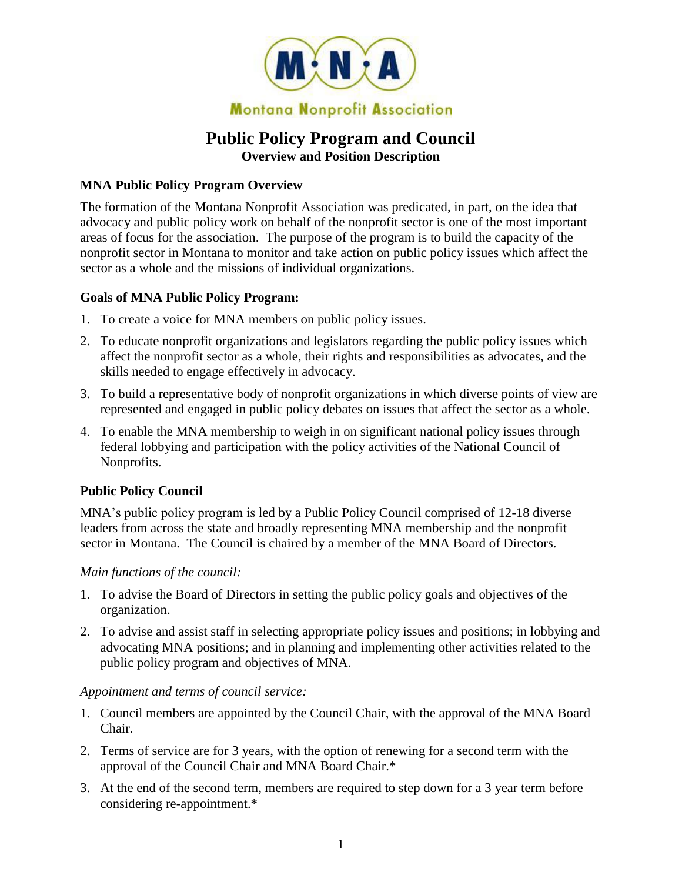

# **Public Policy Program and Council Overview and Position Description**

### **MNA Public Policy Program Overview**

The formation of the Montana Nonprofit Association was predicated, in part, on the idea that advocacy and public policy work on behalf of the nonprofit sector is one of the most important areas of focus for the association. The purpose of the program is to build the capacity of the nonprofit sector in Montana to monitor and take action on public policy issues which affect the sector as a whole and the missions of individual organizations.

#### **Goals of MNA Public Policy Program:**

- 1. To create a voice for MNA members on public policy issues.
- 2. To educate nonprofit organizations and legislators regarding the public policy issues which affect the nonprofit sector as a whole, their rights and responsibilities as advocates, and the skills needed to engage effectively in advocacy.
- 3. To build a representative body of nonprofit organizations in which diverse points of view are represented and engaged in public policy debates on issues that affect the sector as a whole.
- 4. To enable the MNA membership to weigh in on significant national policy issues through federal lobbying and participation with the policy activities of the National Council of Nonprofits.

### **Public Policy Council**

MNA's public policy program is led by a Public Policy Council comprised of 12-18 diverse leaders from across the state and broadly representing MNA membership and the nonprofit sector in Montana. The Council is chaired by a member of the MNA Board of Directors.

### *Main functions of the council:*

- 1. To advise the Board of Directors in setting the public policy goals and objectives of the organization.
- 2. To advise and assist staff in selecting appropriate policy issues and positions; in lobbying and advocating MNA positions; and in planning and implementing other activities related to the public policy program and objectives of MNA.

#### *Appointment and terms of council service:*

- 1. Council members are appointed by the Council Chair, with the approval of the MNA Board Chair.
- 2. Terms of service are for 3 years, with the option of renewing for a second term with the approval of the Council Chair and MNA Board Chair.\*
- 3. At the end of the second term, members are required to step down for a 3 year term before considering re-appointment.\*